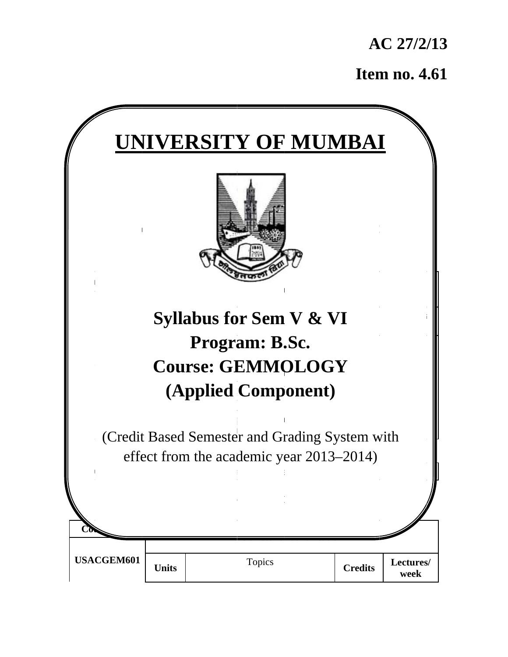**A AC 27/2/ /13** 

**Item no. 4.61** 

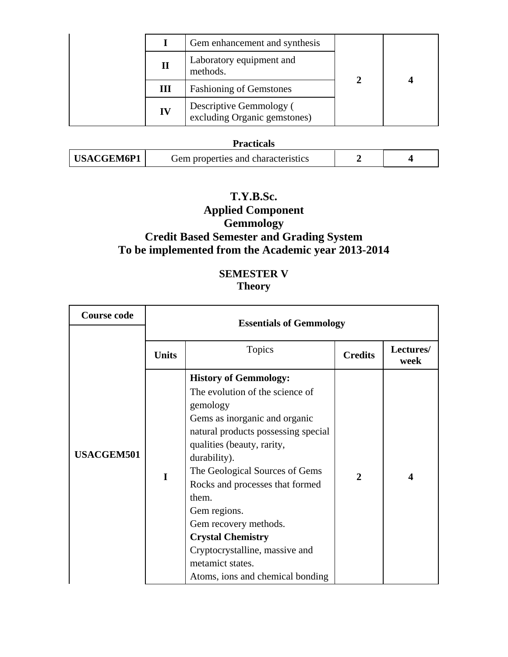|  |    | Gem enhancement and synthesis                           |  |  |
|--|----|---------------------------------------------------------|--|--|
|  | П  | Laboratory equipment and<br>methods.                    |  |  |
|  | Ш  | <b>Fashioning of Gemstones</b>                          |  |  |
|  | IV | Descriptive Gemmology (<br>excluding Organic gemstones) |  |  |

## **Practicals**

| USACGEM6P1<br>Gem properties and characteristics |  |  |
|--------------------------------------------------|--|--|
|--------------------------------------------------|--|--|

### **T.Y.B.Sc.**

# **Applied Component Gemmology Credit Based Semester and Grading System To be implemented from the Academic year 2013-2014**

## **SEMESTER V Theory**

| <b>Course code</b> |              | <b>Essentials of Gemmology</b>                                                                                                                                                                                                                                                                                                                                                                                                                 |                |                   |  |  |
|--------------------|--------------|------------------------------------------------------------------------------------------------------------------------------------------------------------------------------------------------------------------------------------------------------------------------------------------------------------------------------------------------------------------------------------------------------------------------------------------------|----------------|-------------------|--|--|
|                    | <b>Units</b> | <b>Topics</b>                                                                                                                                                                                                                                                                                                                                                                                                                                  | <b>Credits</b> | Lectures/<br>week |  |  |
| <b>USACGEM501</b>  | I            | <b>History of Gemmology:</b><br>The evolution of the science of<br>gemology<br>Gems as inorganic and organic<br>natural products possessing special<br>qualities (beauty, rarity,<br>durability).<br>The Geological Sources of Gems<br>Rocks and processes that formed<br>them.<br>Gem regions.<br>Gem recovery methods.<br><b>Crystal Chemistry</b><br>Cryptocrystalline, massive and<br>metamict states.<br>Atoms, ions and chemical bonding | $\overline{2}$ | 4                 |  |  |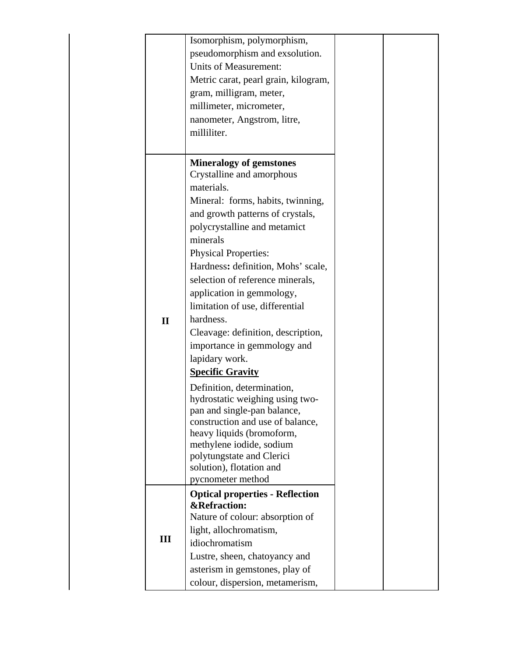|              | Isomorphism, polymorphism,                            |  |
|--------------|-------------------------------------------------------|--|
|              | pseudomorphism and exsolution.                        |  |
|              | <b>Units of Measurement:</b>                          |  |
|              | Metric carat, pearl grain, kilogram,                  |  |
|              | gram, milligram, meter,                               |  |
|              | millimeter, micrometer,                               |  |
|              | nanometer, Angstrom, litre,                           |  |
|              | milliliter.                                           |  |
|              |                                                       |  |
|              | <b>Mineralogy of gemstones</b>                        |  |
|              | Crystalline and amorphous                             |  |
|              | materials.                                            |  |
|              | Mineral: forms, habits, twinning,                     |  |
|              | and growth patterns of crystals,                      |  |
|              | polycrystalline and metamict                          |  |
|              | minerals                                              |  |
|              | <b>Physical Properties:</b>                           |  |
|              | Hardness: definition, Mohs' scale,                    |  |
|              | selection of reference minerals,                      |  |
|              | application in gemmology,                             |  |
|              | limitation of use, differential                       |  |
| $\mathbf{I}$ | hardness.                                             |  |
|              | Cleavage: definition, description,                    |  |
|              | importance in gemmology and                           |  |
|              | lapidary work.                                        |  |
|              | <b>Specific Gravity</b>                               |  |
|              | Definition, determination,                            |  |
|              | hydrostatic weighing using two-                       |  |
|              | pan and single-pan balance,                           |  |
|              | construction and use of balance,                      |  |
|              | heavy liquids (bromoform,                             |  |
|              | methylene iodide, sodium<br>polytungstate and Clerici |  |
|              | solution), flotation and                              |  |
|              | pycnometer method                                     |  |
|              | <b>Optical properties - Reflection</b>                |  |
|              | <b>&amp;Refraction:</b>                               |  |
|              | Nature of colour: absorption of                       |  |
|              | light, allochromatism,                                |  |
| III          | idiochromatism                                        |  |
|              | Lustre, sheen, chatoyancy and                         |  |
|              | asterism in gemstones, play of                        |  |
|              | colour, dispersion, metamerism,                       |  |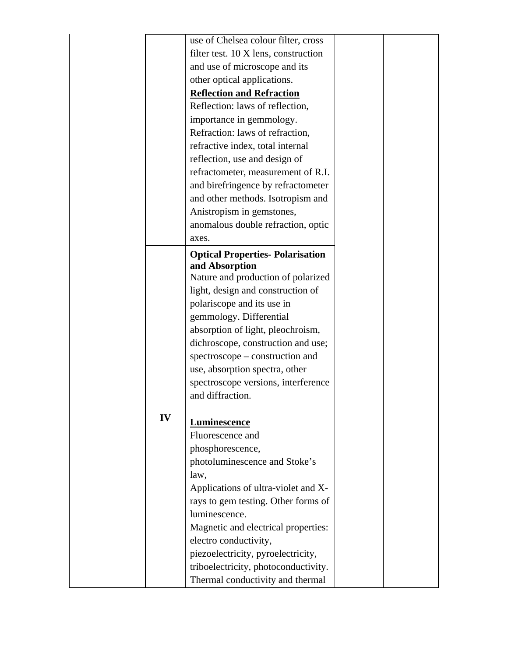|    | use of Chelsea colour filter, cross    |  |
|----|----------------------------------------|--|
|    | filter test. 10 X lens, construction   |  |
|    | and use of microscope and its          |  |
|    | other optical applications.            |  |
|    | <b>Reflection and Refraction</b>       |  |
|    | Reflection: laws of reflection,        |  |
|    | importance in gemmology.               |  |
|    | Refraction: laws of refraction,        |  |
|    | refractive index, total internal       |  |
|    | reflection, use and design of          |  |
|    | refractometer, measurement of R.I.     |  |
|    | and birefringence by refractometer     |  |
|    | and other methods. Isotropism and      |  |
|    | Anistropism in gemstones,              |  |
|    | anomalous double refraction, optic     |  |
|    | axes.                                  |  |
|    | <b>Optical Properties-Polarisation</b> |  |
|    | and Absorption                         |  |
|    | Nature and production of polarized     |  |
|    | light, design and construction of      |  |
|    | polariscope and its use in             |  |
|    | gemmology. Differential                |  |
|    | absorption of light, pleochroism,      |  |
|    | dichroscope, construction and use;     |  |
|    | spectroscope – construction and        |  |
|    | use, absorption spectra, other         |  |
|    | spectroscope versions, interference    |  |
|    | and diffraction.                       |  |
|    |                                        |  |
| IV | <b>Luminescence</b>                    |  |
|    | Fluorescence and                       |  |
|    | phosphorescence,                       |  |
|    | photoluminescence and Stoke's          |  |
|    | law,                                   |  |
|    | Applications of ultra-violet and X-    |  |
|    | rays to gem testing. Other forms of    |  |
|    | luminescence.                          |  |
|    | Magnetic and electrical properties:    |  |
|    | electro conductivity,                  |  |
|    | piezoelectricity, pyroelectricity,     |  |
|    | triboelectricity, photoconductivity.   |  |
|    | Thermal conductivity and thermal       |  |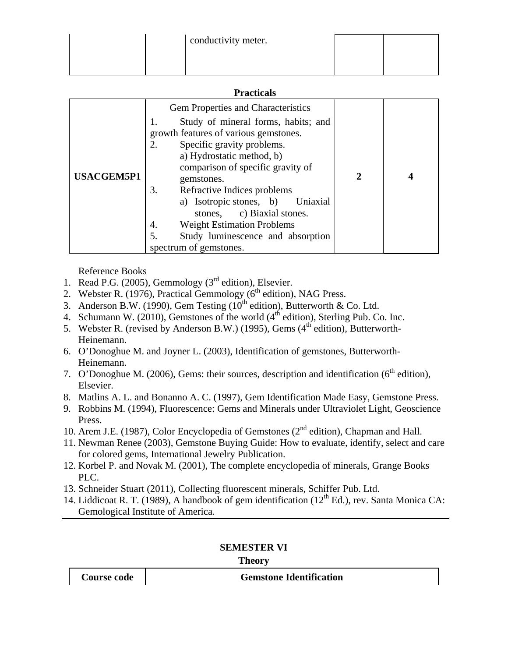| conductivity meter. |  |
|---------------------|--|
|                     |  |
|                     |  |

#### **Practicals**

| <b>USACGEM5P1</b> | <b>Gem Properties and Characteristics</b><br>Study of mineral forms, habits; and<br>growth features of various gemstones.<br>2.<br>Specific gravity problems.<br>a) Hydrostatic method, b)<br>comparison of specific gravity of<br>gemstones.<br>Refractive Indices problems<br>3.<br>a) Isotropic stones, b)<br>Uniaxial<br>stones, c) Biaxial stones.<br><b>Weight Estimation Problems</b><br>4.<br>5.<br>Study luminescence and absorption | $\overline{2}$ |  |
|-------------------|-----------------------------------------------------------------------------------------------------------------------------------------------------------------------------------------------------------------------------------------------------------------------------------------------------------------------------------------------------------------------------------------------------------------------------------------------|----------------|--|
|                   | spectrum of gemstones.                                                                                                                                                                                                                                                                                                                                                                                                                        |                |  |

Reference Books

- 1. Read P.G. (2005), Gemmology ( $3<sup>rd</sup>$  edition), Elsevier.
- 2. Webster R. (1976), Practical Gemmology ( $6<sup>th</sup>$  edition), NAG Press.
- 3. Anderson B.W. (1990), Gem Testing ( $10^{th}$  edition), Butterworth & Co. Ltd.
- 4. Schumann W. (2010), Gemstones of the world  $(4<sup>th</sup>$  edition), Sterling Pub. Co. Inc.
- 5. Webster R. (revised by Anderson B.W.) (1995), Gems  $(4<sup>th</sup>$  edition), Butterworth-Heinemann.
- 6. O'Donoghue M. and Joyner L. (2003), Identification of gemstones, Butterworth-Heinemann.
- 7. O'Donoghue M. (2006), Gems: their sources, description and identification ( $6<sup>th</sup>$  edition), Elsevier.
- 8. Matlins A. L. and Bonanno A. C. (1997), Gem Identification Made Easy, Gemstone Press.
- 9. Robbins M. (1994), Fluorescence: Gems and Minerals under Ultraviolet Light, Geoscience Press.
- 10. Arem J.E. (1987), Color Encyclopedia of Gemstones (2nd edition), Chapman and Hall.
- 11. Newman Renee (2003), Gemstone Buying Guide: How to evaluate, identify, select and care for colored gems, International Jewelry Publication.
- 12. Korbel P. and Novak M. (2001), The complete encyclopedia of minerals, Grange Books PLC.
- 13. Schneider Stuart (2011), Collecting fluorescent minerals, Schiffer Pub. Ltd.
- 14. Liddicoat R. T. (1989), A handbook of gem identification ( $12<sup>th</sup> Ed.$ ), rev. Santa Monica CA: Gemological Institute of America.

### **SEMESTER VI**

#### **Theory**

**Course code Gemstone Identification**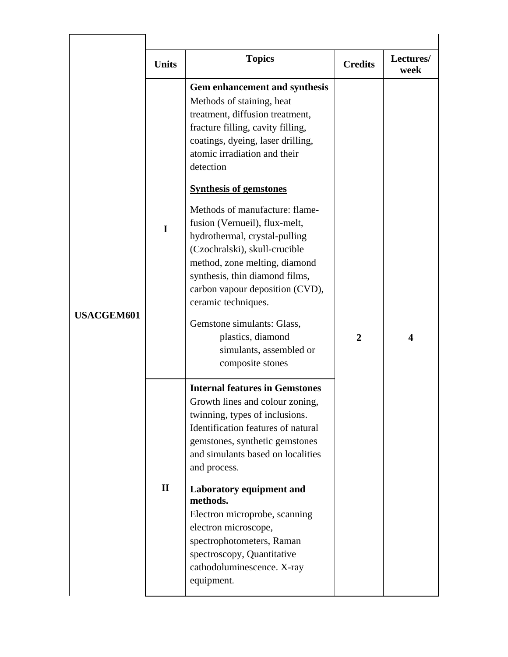|                   | <b>Units</b> | <b>Topics</b>                                                                                                                                                                                                                                                                                                                                                                                                                                                                                                                                                                                                             | <b>Credits</b> | Lectures/<br>week       |
|-------------------|--------------|---------------------------------------------------------------------------------------------------------------------------------------------------------------------------------------------------------------------------------------------------------------------------------------------------------------------------------------------------------------------------------------------------------------------------------------------------------------------------------------------------------------------------------------------------------------------------------------------------------------------------|----------------|-------------------------|
| <b>USACGEM601</b> | I            | Gem enhancement and synthesis<br>Methods of staining, heat<br>treatment, diffusion treatment,<br>fracture filling, cavity filling,<br>coatings, dyeing, laser drilling,<br>atomic irradiation and their<br>detection<br><b>Synthesis of gemstones</b><br>Methods of manufacture: flame-<br>fusion (Vernueil), flux-melt,<br>hydrothermal, crystal-pulling<br>(Czochralski), skull-crucible<br>method, zone melting, diamond<br>synthesis, thin diamond films,<br>carbon vapour deposition (CVD),<br>ceramic techniques.<br>Gemstone simulants: Glass,<br>plastics, diamond<br>simulants, assembled or<br>composite stones | $\overline{2}$ | $\overline{\mathbf{4}}$ |
|                   | $\mathbf{I}$ | <b>Internal features in Gemstones</b><br>Growth lines and colour zoning,<br>twinning, types of inclusions.<br>Identification features of natural<br>gemstones, synthetic gemstones<br>and simulants based on localities<br>and process.<br>Laboratory equipment and<br>methods.<br>Electron microprobe, scanning<br>electron microscope,<br>spectrophotometers, Raman<br>spectroscopy, Quantitative<br>cathodoluminescence. X-ray<br>equipment.                                                                                                                                                                           |                |                         |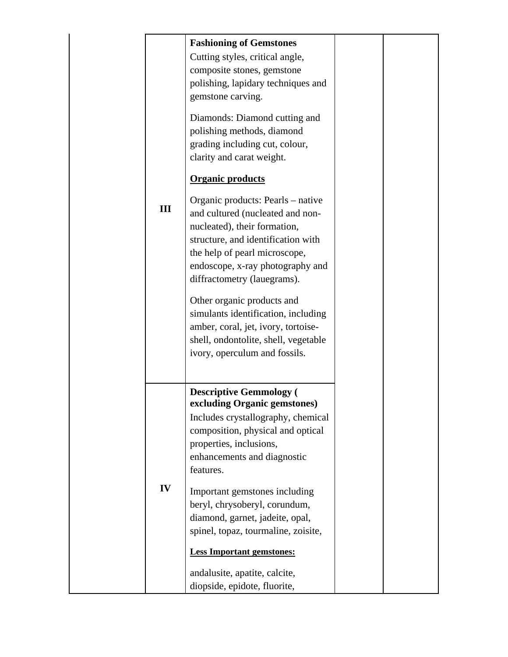| III | <b>Fashioning of Gemstones</b><br>Cutting styles, critical angle,<br>composite stones, gemstone<br>polishing, lapidary techniques and<br>gemstone carving.<br>Diamonds: Diamond cutting and<br>polishing methods, diamond<br>grading including cut, colour,<br>clarity and carat weight.<br><b>Organic products</b><br>Organic products: Pearls – native<br>and cultured (nucleated and non-<br>nucleated), their formation,<br>structure, and identification with<br>the help of pearl microscope,<br>endoscope, x-ray photography and<br>diffractometry (lauegrams).<br>Other organic products and<br>simulants identification, including<br>amber, coral, jet, ivory, tortoise-<br>shell, ondontolite, shell, vegetable<br>ivory, operculum and fossils. |  |
|-----|-------------------------------------------------------------------------------------------------------------------------------------------------------------------------------------------------------------------------------------------------------------------------------------------------------------------------------------------------------------------------------------------------------------------------------------------------------------------------------------------------------------------------------------------------------------------------------------------------------------------------------------------------------------------------------------------------------------------------------------------------------------|--|
| IV  | <b>Descriptive Gemmology (</b><br>excluding Organic gemstones)<br>Includes crystallography, chemical<br>composition, physical and optical<br>properties, inclusions,<br>enhancements and diagnostic<br>features.<br>Important gemstones including<br>beryl, chrysoberyl, corundum,<br>diamond, garnet, jadeite, opal,<br>spinel, topaz, tourmaline, zoisite,<br><b>Less Important gemstones:</b><br>andalusite, apatite, calcite,<br>diopside, epidote, fluorite,                                                                                                                                                                                                                                                                                           |  |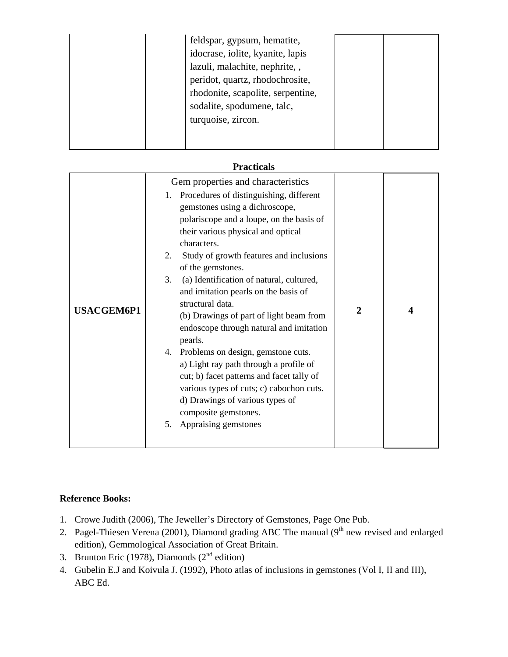|  | feldspar, gypsum, hematite,<br>idocrase, iolite, kyanite, lapis<br>lazuli, malachite, nephrite, ,<br>peridot, quartz, rhodochrosite,<br>rhodonite, scapolite, serpentine,<br>sodalite, spodumene, talc,<br>turquoise, zircon. |  |  |
|--|-------------------------------------------------------------------------------------------------------------------------------------------------------------------------------------------------------------------------------|--|--|
|--|-------------------------------------------------------------------------------------------------------------------------------------------------------------------------------------------------------------------------------|--|--|

| <b>Practicals</b> |  |
|-------------------|--|
|                   |  |

|                   | Gem properties and characteristics<br>Procedures of distinguishing, different<br>1.<br>gemstones using a dichroscope,<br>polariscope and a loupe, on the basis of<br>their various physical and optical                                                                                                                                                                                                                                                                                                                                                               |             |   |
|-------------------|-----------------------------------------------------------------------------------------------------------------------------------------------------------------------------------------------------------------------------------------------------------------------------------------------------------------------------------------------------------------------------------------------------------------------------------------------------------------------------------------------------------------------------------------------------------------------|-------------|---|
| <b>USACGEM6P1</b> | characters.<br>2.<br>Study of growth features and inclusions<br>of the gemstones.<br>3.<br>(a) Identification of natural, cultured,<br>and imitation pearls on the basis of<br>structural data.<br>(b) Drawings of part of light beam from<br>endoscope through natural and imitation<br>pearls.<br>4. Problems on design, gemstone cuts.<br>a) Light ray path through a profile of<br>cut; b) facet patterns and facet tally of<br>various types of cuts; c) cabochon cuts.<br>d) Drawings of various types of<br>composite gemstones.<br>Appraising gemstones<br>5. | $\mathbf 2$ | 4 |

### **Reference Books:**

- 1. Crowe Judith (2006), The Jeweller's Directory of Gemstones, Page One Pub.
- 2. Pagel-Thiesen Verena (2001), Diamond grading ABC The manual (9<sup>th</sup> new revised and enlarged edition), Gemmological Association of Great Britain.
- 3. Brunton Eric (1978), Diamonds ( $2<sup>nd</sup>$  edition)
- 4. Gubelin E.J and Koivula J. (1992), Photo atlas of inclusions in gemstones (Vol I, II and III), ABC Ed.